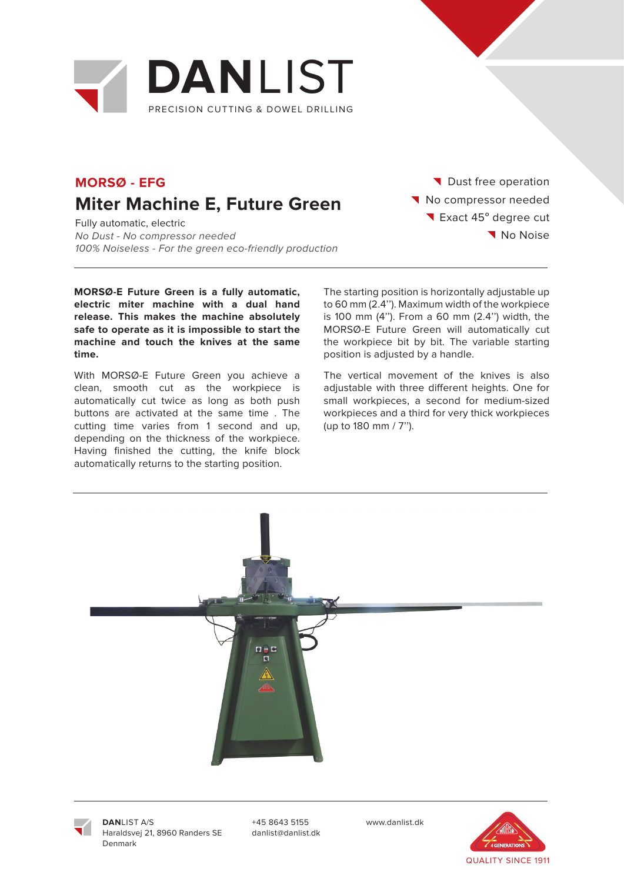

### **MORSØ - EFG Miter Machine E, Future Green**

Fully automatic, electric No Dust - No compressor needed 100% Noiseless - For the green eco-friendly production

**MORSØ-E Future Green is a fully automatic, electric miter machine with a dual hand release. This makes the machine absolutely safe to operate as it is impossible to start the machine and touch the knives at the same time.**

With MORSØ-E Future Green you achieve a clean, smooth cut as the workpiece is automatically cut twice as long as both push buttons are activated at the same time . The cutting time varies from 1 second and up, depending on the thickness of the workpiece. Having finished the cutting, the knife block automatically returns to the starting position.

Dust free operation No compressor needed Exact 45° degree cut No Noise

The starting position is horizontally adjustable up to 60 mm (2.4''). Maximum width of the workpiece is 100 mm (4''). From a 60 mm (2.4'') width, the MORSØ-E Future Green will automatically cut the workpiece bit by bit. The variable starting position is adjusted by a handle.

The vertical movement of the knives is also adjustable with three different heights. One for small workpieces, a second for medium-sized workpieces and a third for very thick workpieces (up to 180 mm / 7'').





**DAN**LIST A/S Haraldsvej 21, 8960 Randers SE Denmark

+45 8643 5155 www.danlist.dk danlist@danlist.dk